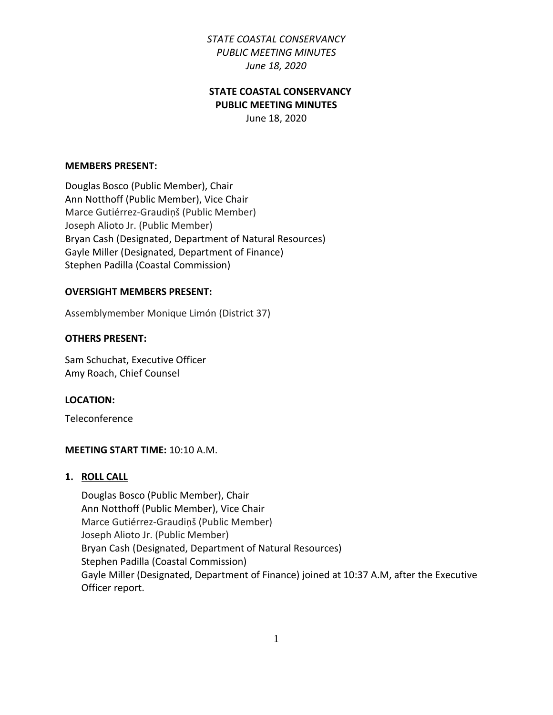## **STATE COASTAL CONSERVANCY PUBLIC MEETING MINUTES**

June 18, 2020

#### **MEMBERS PRESENT:**

Douglas Bosco (Public Member), Chair Ann Notthoff (Public Member), Vice Chair Marce Gutiérrez-Graudiņš (Public Member) Joseph Alioto Jr. (Public Member) Bryan Cash (Designated, Department of Natural Resources) Gayle Miller (Designated, Department of Finance) Stephen Padilla (Coastal Commission)

#### **OVERSIGHT MEMBERS PRESENT:**

Assemblymember Monique Limón (District 37)

#### **OTHERS PRESENT:**

Sam Schuchat, Executive Officer Amy Roach, Chief Counsel

#### **LOCATION:**

Teleconference

#### **MEETING START TIME:** 10:10 A.M.

#### **1. ROLL CALL**

Douglas Bosco (Public Member), Chair Ann Notthoff (Public Member), Vice Chair Marce Gutiérrez-Graudiņš (Public Member) Joseph Alioto Jr. (Public Member) Bryan Cash (Designated, Department of Natural Resources) Stephen Padilla (Coastal Commission) Gayle Miller (Designated, Department of Finance) joined at 10:37 A.M, after the Executive Officer report.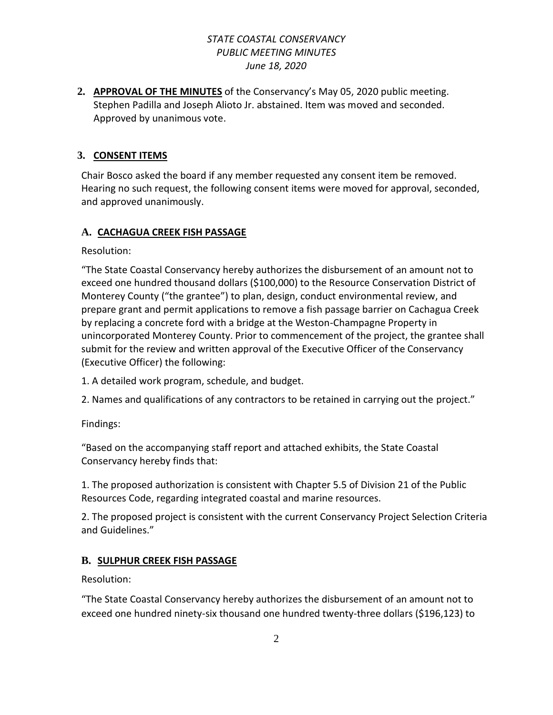**2. APPROVAL OF THE MINUTES** of the Conservancy's May 05, 2020 public meeting. Stephen Padilla and Joseph Alioto Jr. abstained. Item was moved and seconded. Approved by unanimous vote.

## **3. CONSENT ITEMS**

Chair Bosco asked the board if any member requested any consent item be removed. Hearing no such request, the following consent items were moved for approval, seconded, and approved unanimously.

## **A. CACHAGUA CREEK FISH PASSAGE**

Resolution:

"The State Coastal Conservancy hereby authorizes the disbursement of an amount not to exceed one hundred thousand dollars (\$100,000) to the Resource Conservation District of Monterey County ("the grantee") to plan, design, conduct environmental review, and prepare grant and permit applications to remove a fish passage barrier on Cachagua Creek by replacing a concrete ford with a bridge at the Weston-Champagne Property in unincorporated Monterey County. Prior to commencement of the project, the grantee shall submit for the review and written approval of the Executive Officer of the Conservancy (Executive Officer) the following:

- 1. A detailed work program, schedule, and budget.
- 2. Names and qualifications of any contractors to be retained in carrying out the project."

Findings:

"Based on the accompanying staff report and attached exhibits, the State Coastal Conservancy hereby finds that:

1. The proposed authorization is consistent with Chapter 5.5 of Division 21 of the Public Resources Code, regarding integrated coastal and marine resources.

2. The proposed project is consistent with the current Conservancy Project Selection Criteria and Guidelines."

## **B. SULPHUR CREEK FISH PASSAGE**

Resolution:

"The State Coastal Conservancy hereby authorizes the disbursement of an amount not to exceed one hundred ninety-six thousand one hundred twenty-three dollars (\$196,123) to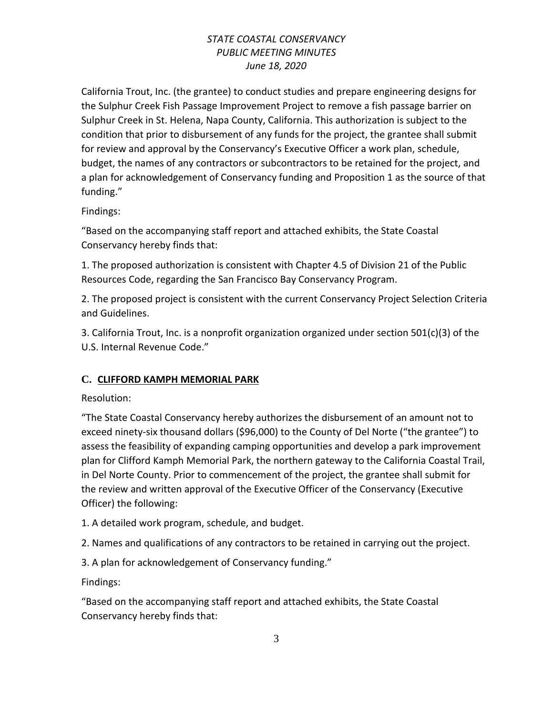California Trout, Inc. (the grantee) to conduct studies and prepare engineering designs for the Sulphur Creek Fish Passage Improvement Project to remove a fish passage barrier on Sulphur Creek in St. Helena, Napa County, California. This authorization is subject to the condition that prior to disbursement of any funds for the project, the grantee shall submit for review and approval by the Conservancy's Executive Officer a work plan, schedule, budget, the names of any contractors or subcontractors to be retained for the project, and a plan for acknowledgement of Conservancy funding and Proposition 1 as the source of that funding."

Findings:

"Based on the accompanying staff report and attached exhibits, the State Coastal Conservancy hereby finds that:

1. The proposed authorization is consistent with Chapter 4.5 of Division 21 of the Public Resources Code, regarding the San Francisco Bay Conservancy Program.

2. The proposed project is consistent with the current Conservancy Project Selection Criteria and Guidelines.

3. California Trout, Inc. is a nonprofit organization organized under section 501(c)(3) of the U.S. Internal Revenue Code."

# **C. CLIFFORD KAMPH MEMORIAL PARK**

Resolution:

"The State Coastal Conservancy hereby authorizes the disbursement of an amount not to exceed ninety-six thousand dollars (\$96,000) to the County of Del Norte ("the grantee") to assess the feasibility of expanding camping opportunities and develop a park improvement plan for Clifford Kamph Memorial Park, the northern gateway to the California Coastal Trail, in Del Norte County. Prior to commencement of the project, the grantee shall submit for the review and written approval of the Executive Officer of the Conservancy (Executive Officer) the following:

1. A detailed work program, schedule, and budget.

2. Names and qualifications of any contractors to be retained in carrying out the project.

3. A plan for acknowledgement of Conservancy funding."

Findings:

"Based on the accompanying staff report and attached exhibits, the State Coastal Conservancy hereby finds that: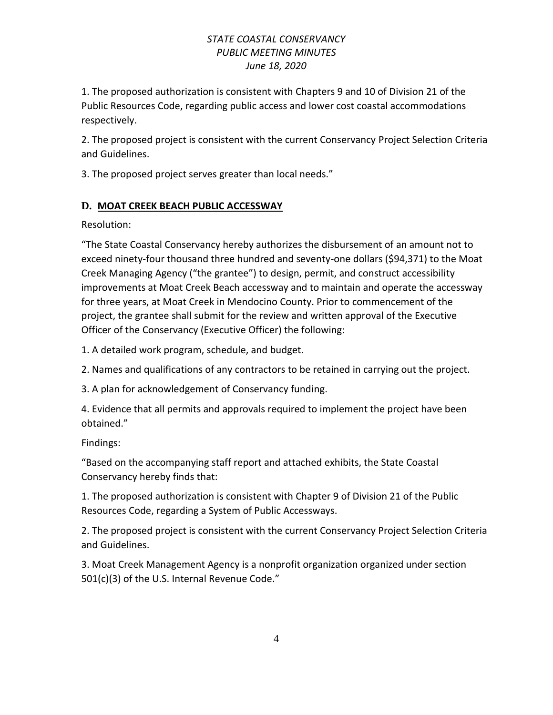1. The proposed authorization is consistent with Chapters 9 and 10 of Division 21 of the Public Resources Code, regarding public access and lower cost coastal accommodations respectively.

2. The proposed project is consistent with the current Conservancy Project Selection Criteria and Guidelines.

3. The proposed project serves greater than local needs."

## **D. MOAT CREEK BEACH PUBLIC ACCESSWAY**

Resolution:

"The State Coastal Conservancy hereby authorizes the disbursement of an amount not to exceed ninety-four thousand three hundred and seventy-one dollars (\$94,371) to the Moat Creek Managing Agency ("the grantee") to design, permit, and construct accessibility improvements at Moat Creek Beach accessway and to maintain and operate the accessway for three years, at Moat Creek in Mendocino County. Prior to commencement of the project, the grantee shall submit for the review and written approval of the Executive Officer of the Conservancy (Executive Officer) the following:

1. A detailed work program, schedule, and budget.

2. Names and qualifications of any contractors to be retained in carrying out the project.

3. A plan for acknowledgement of Conservancy funding.

4. Evidence that all permits and approvals required to implement the project have been obtained."

Findings:

"Based on the accompanying staff report and attached exhibits, the State Coastal Conservancy hereby finds that:

1. The proposed authorization is consistent with Chapter 9 of Division 21 of the Public Resources Code, regarding a System of Public Accessways.

2. The proposed project is consistent with the current Conservancy Project Selection Criteria and Guidelines.

3. Moat Creek Management Agency is a nonprofit organization organized under section 501(c)(3) of the U.S. Internal Revenue Code."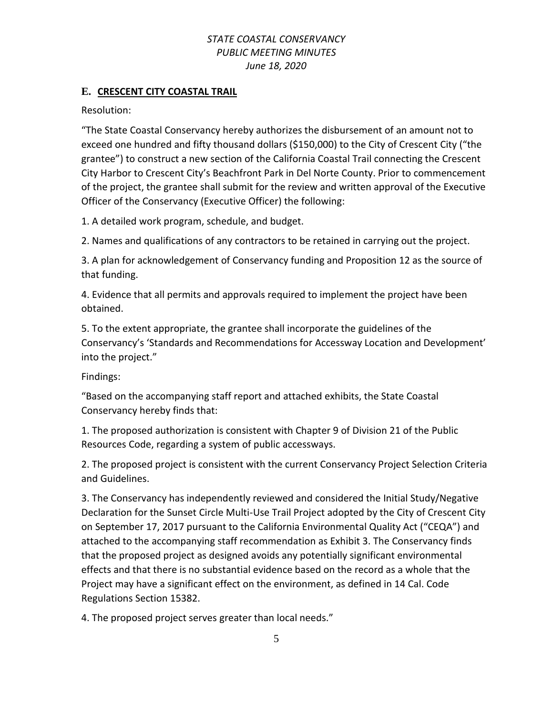### **E. CRESCENT CITY COASTAL TRAIL**

Resolution:

"The State Coastal Conservancy hereby authorizes the disbursement of an amount not to exceed one hundred and fifty thousand dollars (\$150,000) to the City of Crescent City ("the grantee") to construct a new section of the California Coastal Trail connecting the Crescent City Harbor to Crescent City's Beachfront Park in Del Norte County. Prior to commencement of the project, the grantee shall submit for the review and written approval of the Executive Officer of the Conservancy (Executive Officer) the following:

1. A detailed work program, schedule, and budget.

2. Names and qualifications of any contractors to be retained in carrying out the project.

3. A plan for acknowledgement of Conservancy funding and Proposition 12 as the source of that funding.

4. Evidence that all permits and approvals required to implement the project have been obtained.

5. To the extent appropriate, the grantee shall incorporate the guidelines of the Conservancy's 'Standards and Recommendations for Accessway Location and Development' into the project."

Findings:

"Based on the accompanying staff report and attached exhibits, the State Coastal Conservancy hereby finds that:

1. The proposed authorization is consistent with Chapter 9 of Division 21 of the Public Resources Code, regarding a system of public accessways.

2. The proposed project is consistent with the current Conservancy Project Selection Criteria and Guidelines.

3. The Conservancy has independently reviewed and considered the Initial Study/Negative Declaration for the Sunset Circle Multi-Use Trail Project adopted by the City of Crescent City on September 17, 2017 pursuant to the California Environmental Quality Act ("CEQA") and attached to the accompanying staff recommendation as Exhibit 3. The Conservancy finds that the proposed project as designed avoids any potentially significant environmental effects and that there is no substantial evidence based on the record as a whole that the Project may have a significant effect on the environment, as defined in 14 Cal. Code Regulations Section 15382.

4. The proposed project serves greater than local needs."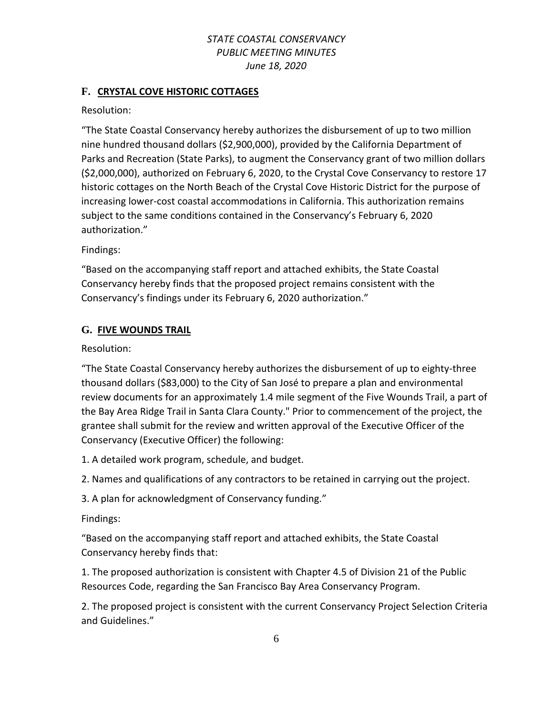### **F. CRYSTAL COVE HISTORIC COTTAGES**

Resolution:

"The State Coastal Conservancy hereby authorizes the disbursement of up to two million nine hundred thousand dollars (\$2,900,000), provided by the California Department of Parks and Recreation (State Parks), to augment the Conservancy grant of two million dollars (\$2,000,000), authorized on February 6, 2020, to the Crystal Cove Conservancy to restore 17 historic cottages on the North Beach of the Crystal Cove Historic District for the purpose of increasing lower-cost coastal accommodations in California. This authorization remains subject to the same conditions contained in the Conservancy's February 6, 2020 authorization."

Findings:

"Based on the accompanying staff report and attached exhibits, the State Coastal Conservancy hereby finds that the proposed project remains consistent with the Conservancy's findings under its February 6, 2020 authorization."

### **G. FIVE WOUNDS TRAIL**

Resolution:

"The State Coastal Conservancy hereby authorizes the disbursement of up to eighty-three thousand dollars (\$83,000) to the City of San José to prepare a plan and environmental review documents for an approximately 1.4 mile segment of the Five Wounds Trail, a part of the Bay Area Ridge Trail in Santa Clara County." Prior to commencement of the project, the grantee shall submit for the review and written approval of the Executive Officer of the Conservancy (Executive Officer) the following:

1. A detailed work program, schedule, and budget.

2. Names and qualifications of any contractors to be retained in carrying out the project.

3. A plan for acknowledgment of Conservancy funding."

Findings:

"Based on the accompanying staff report and attached exhibits, the State Coastal Conservancy hereby finds that:

1. The proposed authorization is consistent with Chapter 4.5 of Division 21 of the Public Resources Code, regarding the San Francisco Bay Area Conservancy Program.

2. The proposed project is consistent with the current Conservancy Project Selection Criteria and Guidelines."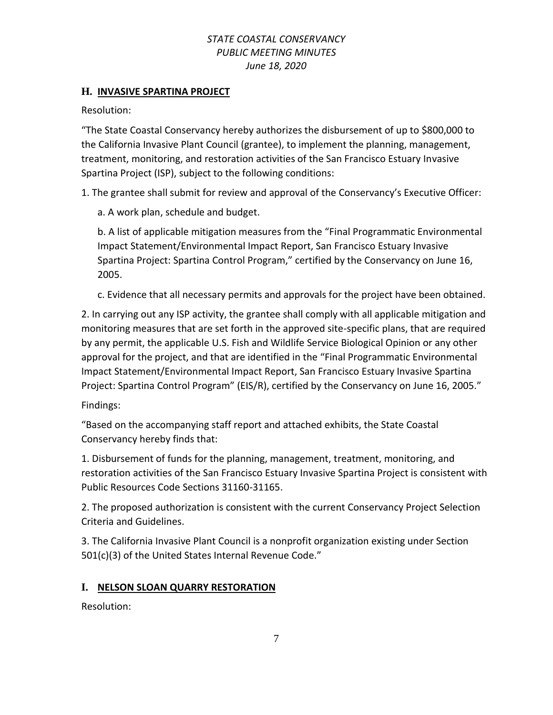### **H. INVASIVE SPARTINA PROJECT**

Resolution:

"The State Coastal Conservancy hereby authorizes the disbursement of up to \$800,000 to the California Invasive Plant Council (grantee), to implement the planning, management, treatment, monitoring, and restoration activities of the San Francisco Estuary Invasive Spartina Project (ISP), subject to the following conditions:

1. The grantee shall submit for review and approval of the Conservancy's Executive Officer:

a. A work plan, schedule and budget.

b. A list of applicable mitigation measures from the "Final Programmatic Environmental Impact Statement/Environmental Impact Report, San Francisco Estuary Invasive Spartina Project: Spartina Control Program," certified by the Conservancy on June 16, 2005.

c. Evidence that all necessary permits and approvals for the project have been obtained.

2. In carrying out any ISP activity, the grantee shall comply with all applicable mitigation and monitoring measures that are set forth in the approved site-specific plans, that are required by any permit, the applicable U.S. Fish and Wildlife Service Biological Opinion or any other approval for the project, and that are identified in the "Final Programmatic Environmental Impact Statement/Environmental Impact Report, San Francisco Estuary Invasive Spartina Project: Spartina Control Program" (EIS/R), certified by the Conservancy on June 16, 2005."

Findings:

"Based on the accompanying staff report and attached exhibits, the State Coastal Conservancy hereby finds that:

1. Disbursement of funds for the planning, management, treatment, monitoring, and restoration activities of the San Francisco Estuary Invasive Spartina Project is consistent with Public Resources Code Sections 31160-31165.

2. The proposed authorization is consistent with the current Conservancy Project Selection Criteria and Guidelines.

3. The California Invasive Plant Council is a nonprofit organization existing under Section 501(c)(3) of the United States Internal Revenue Code."

# **I. NELSON SLOAN QUARRY RESTORATION**

Resolution: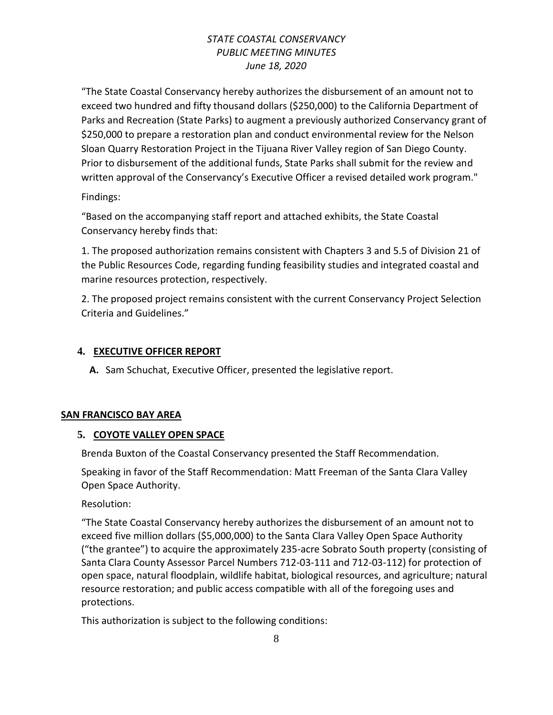"The State Coastal Conservancy hereby authorizes the disbursement of an amount not to exceed two hundred and fifty thousand dollars (\$250,000) to the California Department of Parks and Recreation (State Parks) to augment a previously authorized Conservancy grant of \$250,000 to prepare a restoration plan and conduct environmental review for the Nelson Sloan Quarry Restoration Project in the Tijuana River Valley region of San Diego County. Prior to disbursement of the additional funds, State Parks shall submit for the review and written approval of the Conservancy's Executive Officer a revised detailed work program."

Findings:

"Based on the accompanying staff report and attached exhibits, the State Coastal Conservancy hereby finds that:

1. The proposed authorization remains consistent with Chapters 3 and 5.5 of Division 21 of the Public Resources Code, regarding funding feasibility studies and integrated coastal and marine resources protection, respectively.

2. The proposed project remains consistent with the current Conservancy Project Selection Criteria and Guidelines."

## **4. EXECUTIVE OFFICER REPORT**

**A.** Sam Schuchat, Executive Officer, presented the legislative report.

## **SAN FRANCISCO BAY AREA**

## **5. COYOTE VALLEY OPEN SPACE**

Brenda Buxton of the Coastal Conservancy presented the Staff Recommendation.

Speaking in favor of the Staff Recommendation: Matt Freeman of the Santa Clara Valley Open Space Authority.

Resolution:

"The State Coastal Conservancy hereby authorizes the disbursement of an amount not to exceed five million dollars (\$5,000,000) to the Santa Clara Valley Open Space Authority ("the grantee") to acquire the approximately 235-acre Sobrato South property (consisting of Santa Clara County Assessor Parcel Numbers 712-03-111 and 712-03-112) for protection of open space, natural floodplain, wildlife habitat, biological resources, and agriculture; natural resource restoration; and public access compatible with all of the foregoing uses and protections.

This authorization is subject to the following conditions: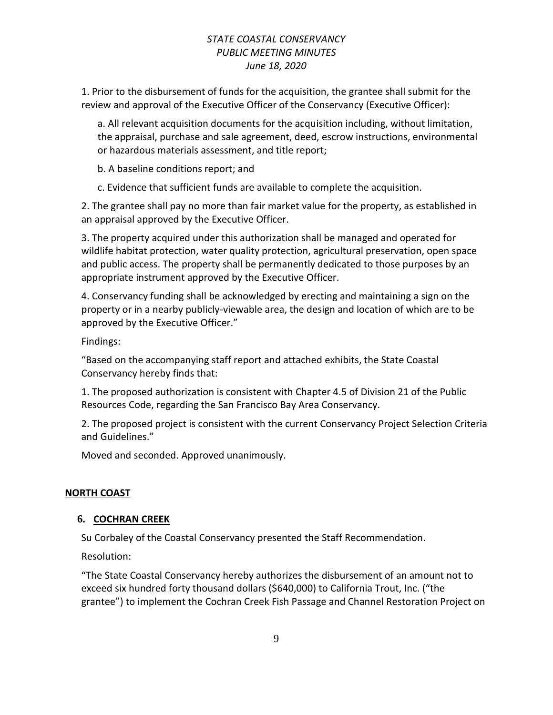1. Prior to the disbursement of funds for the acquisition, the grantee shall submit for the review and approval of the Executive Officer of the Conservancy (Executive Officer):

a. All relevant acquisition documents for the acquisition including, without limitation, the appraisal, purchase and sale agreement, deed, escrow instructions, environmental or hazardous materials assessment, and title report;

b. A baseline conditions report; and

c. Evidence that sufficient funds are available to complete the acquisition.

2. The grantee shall pay no more than fair market value for the property, as established in an appraisal approved by the Executive Officer.

3. The property acquired under this authorization shall be managed and operated for wildlife habitat protection, water quality protection, agricultural preservation, open space and public access. The property shall be permanently dedicated to those purposes by an appropriate instrument approved by the Executive Officer.

4. Conservancy funding shall be acknowledged by erecting and maintaining a sign on the property or in a nearby publicly-viewable area, the design and location of which are to be approved by the Executive Officer."

Findings:

"Based on the accompanying staff report and attached exhibits, the State Coastal Conservancy hereby finds that:

1. The proposed authorization is consistent with Chapter 4.5 of Division 21 of the Public Resources Code, regarding the San Francisco Bay Area Conservancy.

2. The proposed project is consistent with the current Conservancy Project Selection Criteria and Guidelines."

Moved and seconded. Approved unanimously.

### **NORTH COAST**

### **6. COCHRAN CREEK**

Su Corbaley of the Coastal Conservancy presented the Staff Recommendation.

Resolution:

"The State Coastal Conservancy hereby authorizes the disbursement of an amount not to exceed six hundred forty thousand dollars (\$640,000) to California Trout, Inc. ("the grantee") to implement the Cochran Creek Fish Passage and Channel Restoration Project on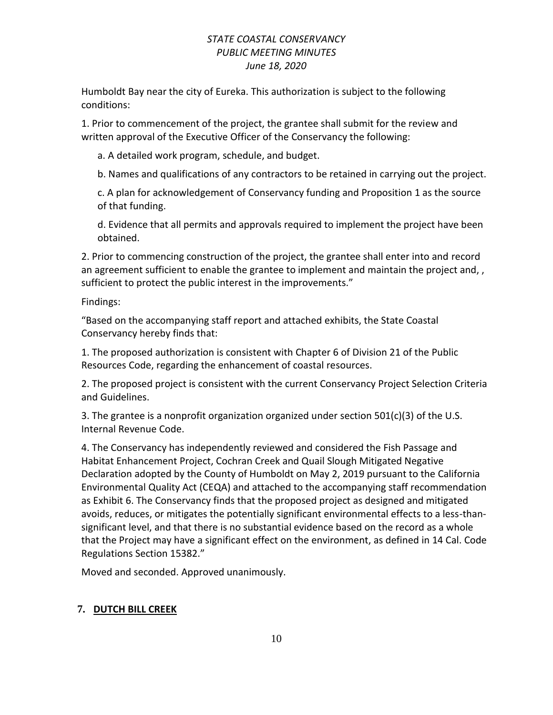Humboldt Bay near the city of Eureka. This authorization is subject to the following conditions:

1. Prior to commencement of the project, the grantee shall submit for the review and written approval of the Executive Officer of the Conservancy the following:

a. A detailed work program, schedule, and budget.

b. Names and qualifications of any contractors to be retained in carrying out the project.

c. A plan for acknowledgement of Conservancy funding and Proposition 1 as the source of that funding.

d. Evidence that all permits and approvals required to implement the project have been obtained.

2. Prior to commencing construction of the project, the grantee shall enter into and record an agreement sufficient to enable the grantee to implement and maintain the project and, , sufficient to protect the public interest in the improvements."

Findings:

"Based on the accompanying staff report and attached exhibits, the State Coastal Conservancy hereby finds that:

1. The proposed authorization is consistent with Chapter 6 of Division 21 of the Public Resources Code, regarding the enhancement of coastal resources.

2. The proposed project is consistent with the current Conservancy Project Selection Criteria and Guidelines.

3. The grantee is a nonprofit organization organized under section 501(c)(3) of the U.S. Internal Revenue Code.

4. The Conservancy has independently reviewed and considered the Fish Passage and Habitat Enhancement Project, Cochran Creek and Quail Slough Mitigated Negative Declaration adopted by the County of Humboldt on May 2, 2019 pursuant to the California Environmental Quality Act (CEQA) and attached to the accompanying staff recommendation as Exhibit 6. The Conservancy finds that the proposed project as designed and mitigated avoids, reduces, or mitigates the potentially significant environmental effects to a less-thansignificant level, and that there is no substantial evidence based on the record as a whole that the Project may have a significant effect on the environment, as defined in 14 Cal. Code Regulations Section 15382."

Moved and seconded. Approved unanimously.

# **7. DUTCH BILL CREEK**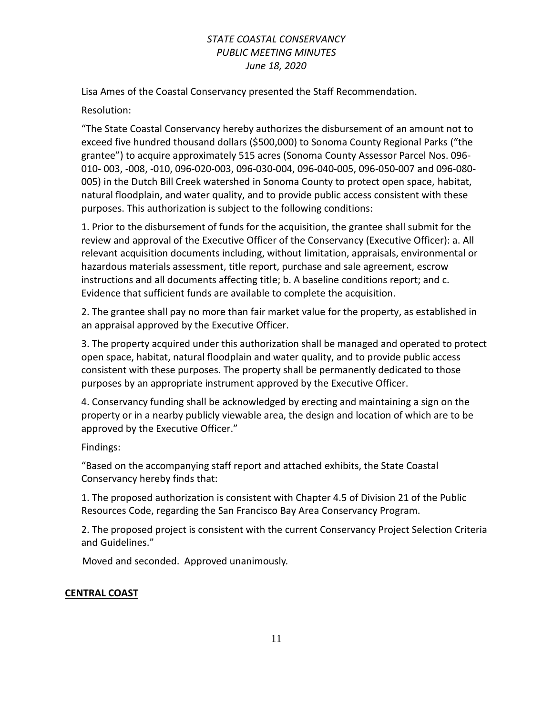Lisa Ames of the Coastal Conservancy presented the Staff Recommendation.

Resolution:

"The State Coastal Conservancy hereby authorizes the disbursement of an amount not to exceed five hundred thousand dollars (\$500,000) to Sonoma County Regional Parks ("the grantee") to acquire approximately 515 acres (Sonoma County Assessor Parcel Nos. 096- 010- 003, -008, -010, 096-020-003, 096-030-004, 096-040-005, 096-050-007 and 096-080- 005) in the Dutch Bill Creek watershed in Sonoma County to protect open space, habitat, natural floodplain, and water quality, and to provide public access consistent with these purposes. This authorization is subject to the following conditions:

1. Prior to the disbursement of funds for the acquisition, the grantee shall submit for the review and approval of the Executive Officer of the Conservancy (Executive Officer): a. All relevant acquisition documents including, without limitation, appraisals, environmental or hazardous materials assessment, title report, purchase and sale agreement, escrow instructions and all documents affecting title; b. A baseline conditions report; and c. Evidence that sufficient funds are available to complete the acquisition.

2. The grantee shall pay no more than fair market value for the property, as established in an appraisal approved by the Executive Officer.

3. The property acquired under this authorization shall be managed and operated to protect open space, habitat, natural floodplain and water quality, and to provide public access consistent with these purposes. The property shall be permanently dedicated to those purposes by an appropriate instrument approved by the Executive Officer.

4. Conservancy funding shall be acknowledged by erecting and maintaining a sign on the property or in a nearby publicly viewable area, the design and location of which are to be approved by the Executive Officer."

Findings:

"Based on the accompanying staff report and attached exhibits, the State Coastal Conservancy hereby finds that:

1. The proposed authorization is consistent with Chapter 4.5 of Division 21 of the Public Resources Code, regarding the San Francisco Bay Area Conservancy Program.

2. The proposed project is consistent with the current Conservancy Project Selection Criteria and Guidelines."

Moved and seconded. Approved unanimously.

## **CENTRAL COAST**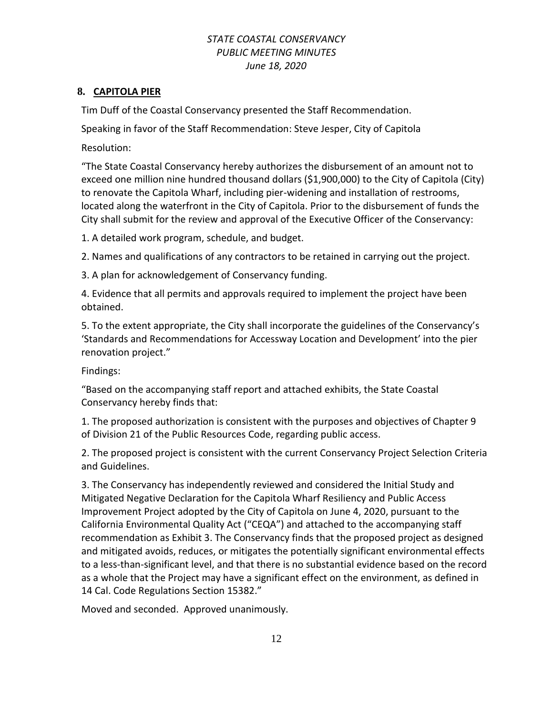### **8. CAPITOLA PIER**

Tim Duff of the Coastal Conservancy presented the Staff Recommendation.

Speaking in favor of the Staff Recommendation: Steve Jesper, City of Capitola

Resolution:

"The State Coastal Conservancy hereby authorizes the disbursement of an amount not to exceed one million nine hundred thousand dollars (\$1,900,000) to the City of Capitola (City) to renovate the Capitola Wharf, including pier-widening and installation of restrooms, located along the waterfront in the City of Capitola. Prior to the disbursement of funds the City shall submit for the review and approval of the Executive Officer of the Conservancy:

1. A detailed work program, schedule, and budget.

2. Names and qualifications of any contractors to be retained in carrying out the project.

3. A plan for acknowledgement of Conservancy funding.

4. Evidence that all permits and approvals required to implement the project have been obtained.

5. To the extent appropriate, the City shall incorporate the guidelines of the Conservancy's 'Standards and Recommendations for Accessway Location and Development' into the pier renovation project."

Findings:

"Based on the accompanying staff report and attached exhibits, the State Coastal Conservancy hereby finds that:

1. The proposed authorization is consistent with the purposes and objectives of Chapter 9 of Division 21 of the Public Resources Code, regarding public access.

2. The proposed project is consistent with the current Conservancy Project Selection Criteria and Guidelines.

3. The Conservancy has independently reviewed and considered the Initial Study and Mitigated Negative Declaration for the Capitola Wharf Resiliency and Public Access Improvement Project adopted by the City of Capitola on June 4, 2020, pursuant to the California Environmental Quality Act ("CEQA") and attached to the accompanying staff recommendation as Exhibit 3. The Conservancy finds that the proposed project as designed and mitigated avoids, reduces, or mitigates the potentially significant environmental effects to a less-than-significant level, and that there is no substantial evidence based on the record as a whole that the Project may have a significant effect on the environment, as defined in 14 Cal. Code Regulations Section 15382."

Moved and seconded. Approved unanimously.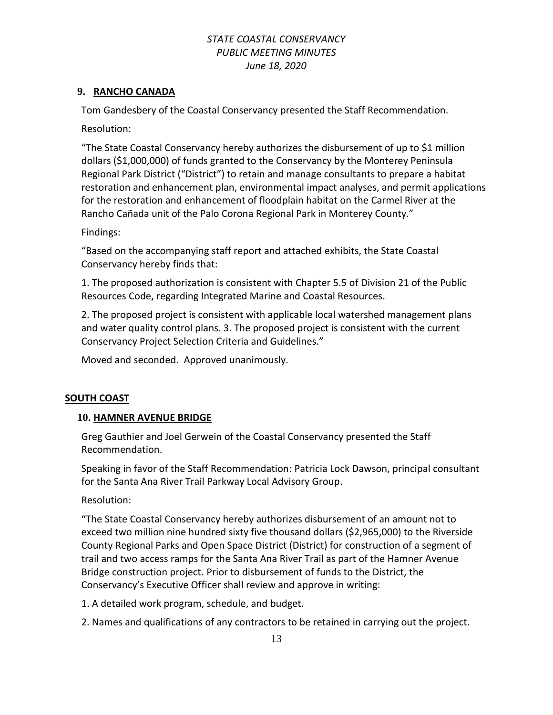### **9. RANCHO CANADA**

Tom Gandesbery of the Coastal Conservancy presented the Staff Recommendation.

Resolution:

"The State Coastal Conservancy hereby authorizes the disbursement of up to \$1 million dollars (\$1,000,000) of funds granted to the Conservancy by the Monterey Peninsula Regional Park District ("District") to retain and manage consultants to prepare a habitat restoration and enhancement plan, environmental impact analyses, and permit applications for the restoration and enhancement of floodplain habitat on the Carmel River at the Rancho Cañada unit of the Palo Corona Regional Park in Monterey County."

Findings:

"Based on the accompanying staff report and attached exhibits, the State Coastal Conservancy hereby finds that:

1. The proposed authorization is consistent with Chapter 5.5 of Division 21 of the Public Resources Code, regarding Integrated Marine and Coastal Resources.

2. The proposed project is consistent with applicable local watershed management plans and water quality control plans. 3. The proposed project is consistent with the current Conservancy Project Selection Criteria and Guidelines."

Moved and seconded. Approved unanimously.

## **SOUTH COAST**

### **10. HAMNER AVENUE BRIDGE**

Greg Gauthier and Joel Gerwein of the Coastal Conservancy presented the Staff Recommendation.

Speaking in favor of the Staff Recommendation: Patricia Lock Dawson, principal consultant for the Santa Ana River Trail Parkway Local Advisory Group.

### Resolution:

"The State Coastal Conservancy hereby authorizes disbursement of an amount not to exceed two million nine hundred sixty five thousand dollars (\$2,965,000) to the Riverside County Regional Parks and Open Space District (District) for construction of a segment of trail and two access ramps for the Santa Ana River Trail as part of the Hamner Avenue Bridge construction project. Prior to disbursement of funds to the District, the Conservancy's Executive Officer shall review and approve in writing:

1. A detailed work program, schedule, and budget.

2. Names and qualifications of any contractors to be retained in carrying out the project.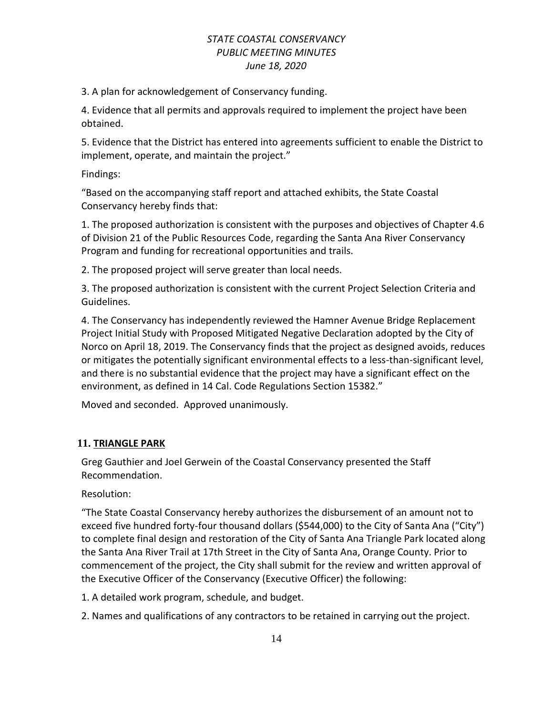3. A plan for acknowledgement of Conservancy funding.

4. Evidence that all permits and approvals required to implement the project have been obtained.

5. Evidence that the District has entered into agreements sufficient to enable the District to implement, operate, and maintain the project."

Findings:

"Based on the accompanying staff report and attached exhibits, the State Coastal Conservancy hereby finds that:

1. The proposed authorization is consistent with the purposes and objectives of Chapter 4.6 of Division 21 of the Public Resources Code, regarding the Santa Ana River Conservancy Program and funding for recreational opportunities and trails.

2. The proposed project will serve greater than local needs.

3. The proposed authorization is consistent with the current Project Selection Criteria and Guidelines.

4. The Conservancy has independently reviewed the Hamner Avenue Bridge Replacement Project Initial Study with Proposed Mitigated Negative Declaration adopted by the City of Norco on April 18, 2019. The Conservancy finds that the project as designed avoids, reduces or mitigates the potentially significant environmental effects to a less-than-significant level, and there is no substantial evidence that the project may have a significant effect on the environment, as defined in 14 Cal. Code Regulations Section 15382."

Moved and seconded. Approved unanimously.

### **11. TRIANGLE PARK**

Greg Gauthier and Joel Gerwein of the Coastal Conservancy presented the Staff Recommendation.

Resolution:

"The State Coastal Conservancy hereby authorizes the disbursement of an amount not to exceed five hundred forty-four thousand dollars (\$544,000) to the City of Santa Ana ("City") to complete final design and restoration of the City of Santa Ana Triangle Park located along the Santa Ana River Trail at 17th Street in the City of Santa Ana, Orange County. Prior to commencement of the project, the City shall submit for the review and written approval of the Executive Officer of the Conservancy (Executive Officer) the following:

1. A detailed work program, schedule, and budget.

2. Names and qualifications of any contractors to be retained in carrying out the project.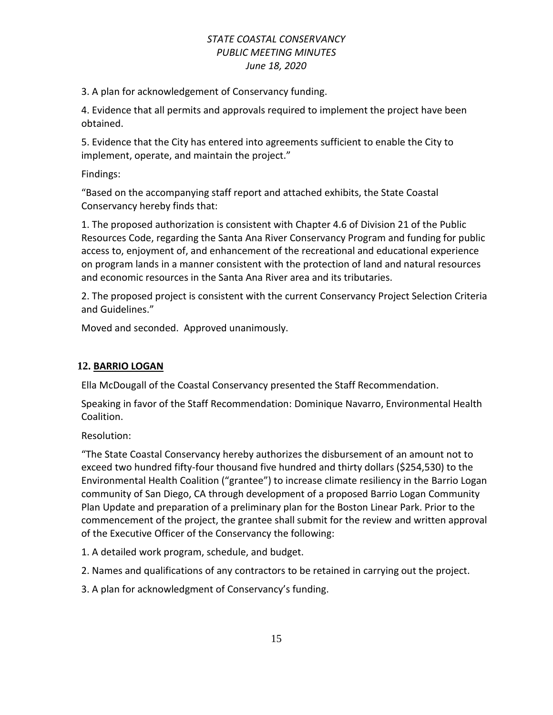3. A plan for acknowledgement of Conservancy funding.

4. Evidence that all permits and approvals required to implement the project have been obtained.

5. Evidence that the City has entered into agreements sufficient to enable the City to implement, operate, and maintain the project."

Findings:

"Based on the accompanying staff report and attached exhibits, the State Coastal Conservancy hereby finds that:

1. The proposed authorization is consistent with Chapter 4.6 of Division 21 of the Public Resources Code, regarding the Santa Ana River Conservancy Program and funding for public access to, enjoyment of, and enhancement of the recreational and educational experience on program lands in a manner consistent with the protection of land and natural resources and economic resources in the Santa Ana River area and its tributaries.

2. The proposed project is consistent with the current Conservancy Project Selection Criteria and Guidelines."

Moved and seconded. Approved unanimously.

## **12. BARRIO LOGAN**

Ella McDougall of the Coastal Conservancy presented the Staff Recommendation.

Speaking in favor of the Staff Recommendation: Dominique Navarro, Environmental Health Coalition.

Resolution:

"The State Coastal Conservancy hereby authorizes the disbursement of an amount not to exceed two hundred fifty-four thousand five hundred and thirty dollars (\$254,530) to the Environmental Health Coalition ("grantee") to increase climate resiliency in the Barrio Logan community of San Diego, CA through development of a proposed Barrio Logan Community Plan Update and preparation of a preliminary plan for the Boston Linear Park. Prior to the commencement of the project, the grantee shall submit for the review and written approval of the Executive Officer of the Conservancy the following:

- 1. A detailed work program, schedule, and budget.
- 2. Names and qualifications of any contractors to be retained in carrying out the project.
- 3. A plan for acknowledgment of Conservancy's funding.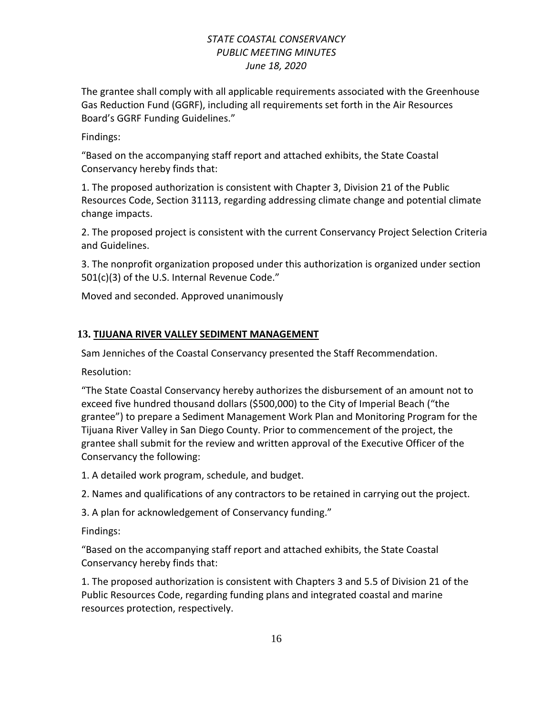The grantee shall comply with all applicable requirements associated with the Greenhouse Gas Reduction Fund (GGRF), including all requirements set forth in the Air Resources Board's GGRF Funding Guidelines."

Findings:

"Based on the accompanying staff report and attached exhibits, the State Coastal Conservancy hereby finds that:

1. The proposed authorization is consistent with Chapter 3, Division 21 of the Public Resources Code, Section 31113, regarding addressing climate change and potential climate change impacts.

2. The proposed project is consistent with the current Conservancy Project Selection Criteria and Guidelines.

3. The nonprofit organization proposed under this authorization is organized under section 501(c)(3) of the U.S. Internal Revenue Code."

Moved and seconded. Approved unanimously

## **13. TIJUANA RIVER VALLEY SEDIMENT MANAGEMENT**

Sam Jenniches of the Coastal Conservancy presented the Staff Recommendation.

Resolution:

"The State Coastal Conservancy hereby authorizes the disbursement of an amount not to exceed five hundred thousand dollars (\$500,000) to the City of Imperial Beach ("the grantee") to prepare a Sediment Management Work Plan and Monitoring Program for the Tijuana River Valley in San Diego County. Prior to commencement of the project, the grantee shall submit for the review and written approval of the Executive Officer of the Conservancy the following:

1. A detailed work program, schedule, and budget.

2. Names and qualifications of any contractors to be retained in carrying out the project.

3. A plan for acknowledgement of Conservancy funding."

Findings:

"Based on the accompanying staff report and attached exhibits, the State Coastal Conservancy hereby finds that:

1. The proposed authorization is consistent with Chapters 3 and 5.5 of Division 21 of the Public Resources Code, regarding funding plans and integrated coastal and marine resources protection, respectively.